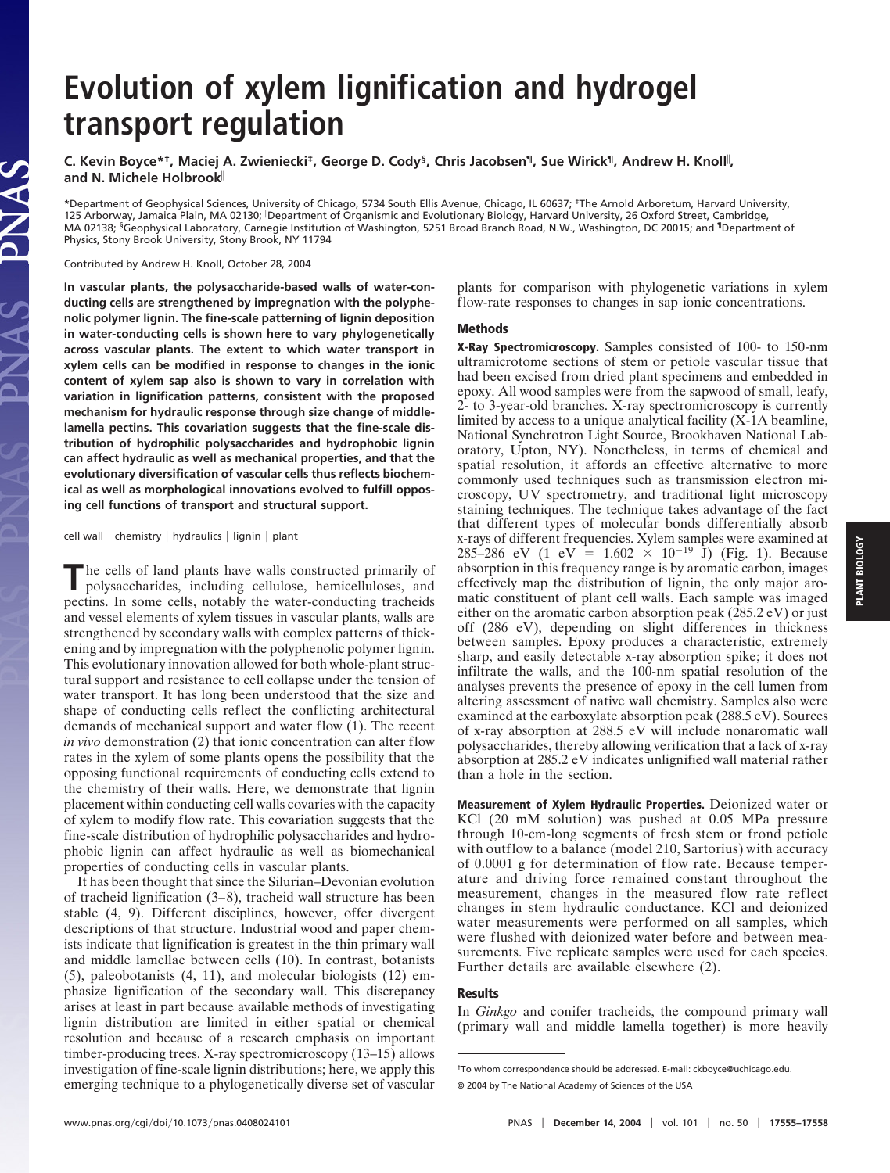## **Evolution of xylem lignification and hydrogel transport regulation**

**C. Kevin Boyce\*†, Maciej A. Zwieniecki‡, George D. Cody§, Chris Jacobsen¶, Sue Wirick¶, Andrew H. Knoll , and N. Michele Holbrook**

\*Department of Geophysical Sciences, University of Chicago, 5734 South Ellis Avenue, Chicago, IL 60637; ‡The Arnold Arboretum, Harvard University, 125 Arborway, Jamaica Plain, MA 02130; Department of Organismic and Evolutionary Biology, Harvard University, 26 Oxford Street, Cambridge, MA 02138; §Geophysical Laboratory, Carnegie Institution of Washington, 5251 Broad Branch Road, N.W., Washington, DC 20015; and ¶Department of Physics, Stony Brook University, Stony Brook, NY 11794

Contributed by Andrew H. Knoll, October 28, 2004

JAS

**In vascular plants, the polysaccharide-based walls of water-conducting cells are strengthened by impregnation with the polyphenolic polymer lignin. The fine-scale patterning of lignin deposition in water-conducting cells is shown here to vary phylogenetically across vascular plants. The extent to which water transport in xylem cells can be modified in response to changes in the ionic content of xylem sap also is shown to vary in correlation with variation in lignification patterns, consistent with the proposed mechanism for hydraulic response through size change of middlelamella pectins. This covariation suggests that the fine-scale distribution of hydrophilic polysaccharides and hydrophobic lignin can affect hydraulic as well as mechanical properties, and that the evolutionary diversification of vascular cells thus reflects biochemical as well as morphological innovations evolved to fulfill opposing cell functions of transport and structural support.**

cell wall | chemistry | hydraulics | lignin | plant

**T**he cells of land plants have walls constructed primarily of polysaccharides, including cellulose, hemicelluloses, and pectins. In some cells, notably the water-conducting tracheids and vessel elements of xylem tissues in vascular plants, walls are strengthened by secondary walls with complex patterns of thickening and by impregnation with the polyphenolic polymer lignin. This evolutionary innovation allowed for both whole-plant structural support and resistance to cell collapse under the tension of water transport. It has long been understood that the size and shape of conducting cells reflect the conflicting architectural demands of mechanical support and water flow (1). The recent *in vivo* demonstration (2) that ionic concentration can alter flow rates in the xylem of some plants opens the possibility that the opposing functional requirements of conducting cells extend to the chemistry of their walls. Here, we demonstrate that lignin placement within conducting cell walls covaries with the capacity of xylem to modify flow rate. This covariation suggests that the fine-scale distribution of hydrophilic polysaccharides and hydrophobic lignin can affect hydraulic as well as biomechanical properties of conducting cells in vascular plants.

It has been thought that since the Silurian–Devonian evolution of tracheid lignification (3–8), tracheid wall structure has been stable (4, 9). Different disciplines, however, offer divergent descriptions of that structure. Industrial wood and paper chemists indicate that lignification is greatest in the thin primary wall and middle lamellae between cells (10). In contrast, botanists (5), paleobotanists (4, 11), and molecular biologists (12) emphasize lignification of the secondary wall. This discrepancy arises at least in part because available methods of investigating lignin distribution are limited in either spatial or chemical resolution and because of a research emphasis on important timber-producing trees. X-ray spectromicroscopy (13–15) allows investigation of fine-scale lignin distributions; here, we apply this emerging technique to a phylogenetically diverse set of vascular

plants for comparison with phylogenetic variations in xylem flow-rate responses to changes in sap ionic concentrations.

## **Methods**

**X-Ray Spectromicroscopy.** Samples consisted of 100- to 150-nm ultramicrotome sections of stem or petiole vascular tissue that had been excised from dried plant specimens and embedded in epoxy. All wood samples were from the sapwood of small, leafy, 2- to 3-year-old branches. X-ray spectromicroscopy is currently limited by access to a unique analytical facility (X-1A beamline, National Synchrotron Light Source, Brookhaven National Laboratory, Upton, NY). Nonetheless, in terms of chemical and spatial resolution, it affords an effective alternative to more commonly used techniques such as transmission electron microscopy, UV spectrometry, and traditional light microscopy staining techniques. The technique takes advantage of the fact that different types of molecular bonds differentially absorb x-rays of different frequencies. Xylem samples were examined at 285–286 eV (1 eV = 1.602  $\times$  10<sup>-19</sup> J) (Fig. 1). Because absorption in this frequency range is by aromatic carbon, images effectively map the distribution of lignin, the only major aromatic constituent of plant cell walls. Each sample was imaged either on the aromatic carbon absorption peak (285.2 eV) or just off (286 eV), depending on slight differences in thickness between samples. Epoxy produces a characteristic, extremely sharp, and easily detectable x-ray absorption spike; it does not infiltrate the walls, and the 100-nm spatial resolution of the analyses prevents the presence of epoxy in the cell lumen from altering assessment of native wall chemistry. Samples also were examined at the carboxylate absorption peak (288.5 eV). Sources of x-ray absorption at 288.5 eV will include nonaromatic wall polysaccharides, thereby allowing verification that a lack of x-ray absorption at 285.2 eV indicates unlignified wall material rather than a hole in the section.

**Measurement of Xylem Hydraulic Properties.** Deionized water or KCl (20 mM solution) was pushed at 0.05 MPa pressure through 10-cm-long segments of fresh stem or frond petiole with outflow to a balance (model 210, Sartorius) with accuracy of 0.0001 g for determination of flow rate. Because temperature and driving force remained constant throughout the measurement, changes in the measured flow rate reflect changes in stem hydraulic conductance. KCl and deionized water measurements were performed on all samples, which were flushed with deionized water before and between measurements. Five replicate samples were used for each species. Further details are available elsewhere (2).

## **Results**

In *Ginkgo* and conifer tracheids, the compound primary wall (primary wall and middle lamella together) is more heavily

<sup>†</sup>To whom correspondence should be addressed. E-mail: ckboyce@uchicago.edu. © 2004 by The National Academy of Sciences of the USA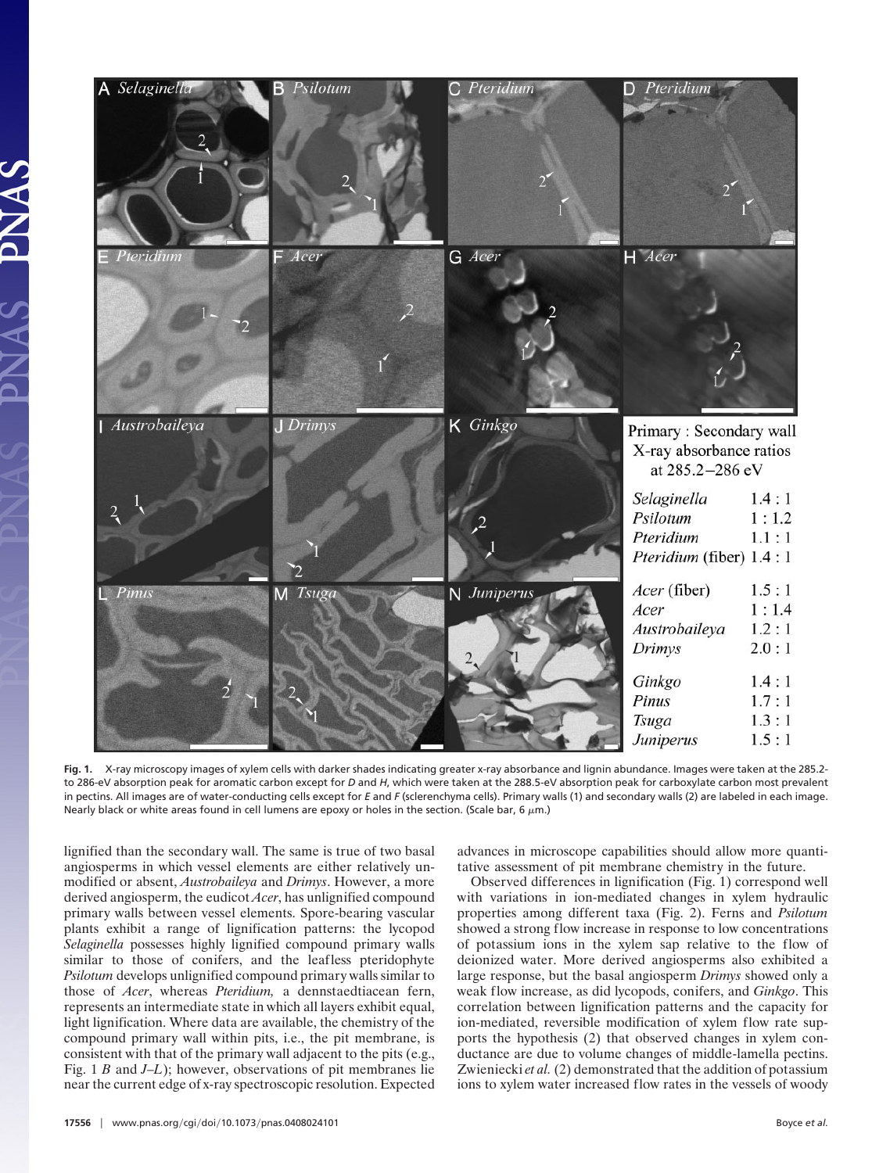

**Fig. 1.** X-ray microscopy images of xylem cells with darker shades indicating greater x-ray absorbance and lignin abundance. Images were taken at the 285.2 to 286-eV absorption peak for aromatic carbon except for *D* and *H*, which were taken at the 288.5-eV absorption peak for carboxylate carbon most prevalent in pectins. All images are of water-conducting cells except for *E* and *F* (sclerenchyma cells). Primary walls (1) and secondary walls (2) are labeled in each image. Nearly black or white areas found in cell lumens are epoxy or holes in the section. (Scale bar, 6  $\mu$ m.)

lignified than the secondary wall. The same is true of two basal angiosperms in which vessel elements are either relatively unmodified or absent, *Austrobaileya* and *Drimys*. However, a more derived angiosperm, the eudicot *Acer*, has unlignified compound primary walls between vessel elements. Spore-bearing vascular plants exhibit a range of lignification patterns: the lycopod *Selaginella* possesses highly lignified compound primary walls similar to those of conifers, and the leafless pteridophyte *Psilotum* develops unlignified compound primary walls similar to those of *Acer*, whereas *Pteridium,* a dennstaedtiacean fern, represents an intermediate state in which all layers exhibit equal, light lignification. Where data are available, the chemistry of the compound primary wall within pits, i.e., the pit membrane, is consistent with that of the primary wall adjacent to the pits (e.g., Fig. 1 *B* and *J*–*L*); however, observations of pit membranes lie near the current edge of x-ray spectroscopic resolution. Expected

advances in microscope capabilities should allow more quantitative assessment of pit membrane chemistry in the future.

Observed differences in lignification (Fig. 1) correspond well with variations in ion-mediated changes in xylem hydraulic properties among different taxa (Fig. 2). Ferns and *Psilotum* showed a strong flow increase in response to low concentrations of potassium ions in the xylem sap relative to the flow of deionized water. More derived angiosperms also exhibited a large response, but the basal angiosperm *Drimys* showed only a weak flow increase, as did lycopods, conifers, and *Ginkgo*. This correlation between lignification patterns and the capacity for ion-mediated, reversible modification of xylem flow rate supports the hypothesis (2) that observed changes in xylem conductance are due to volume changes of middle-lamella pectins. Zwieniecki *et al.*(2) demonstrated that the addition of potassium ions to xylem water increased flow rates in the vessels of woody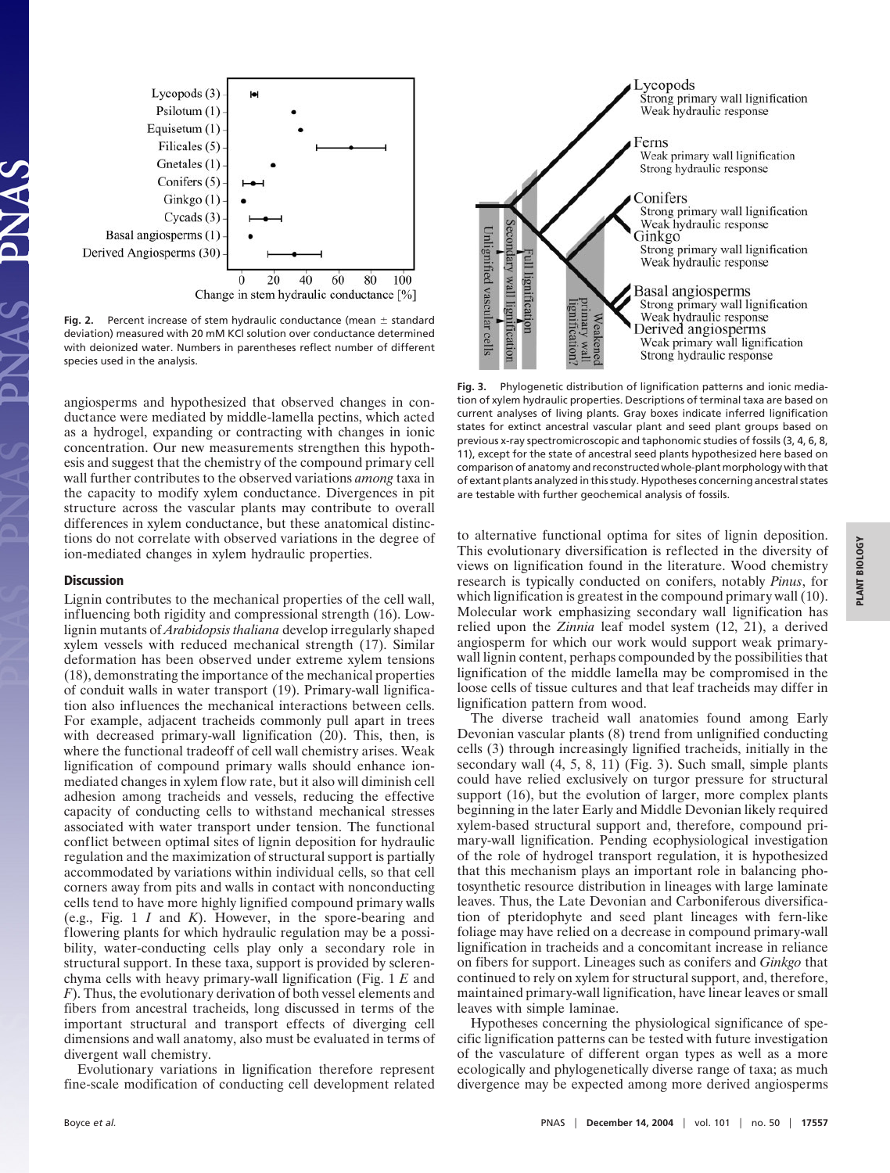

Fig. 2. Percent increase of stem hydraulic conductance (mean  $\pm$  standard deviation) measured with 20 mM KCl solution over conductance determined with deionized water. Numbers in parentheses reflect number of different species used in the analysis.

angiosperms and hypothesized that observed changes in conductance were mediated by middle-lamella pectins, which acted as a hydrogel, expanding or contracting with changes in ionic concentration. Our new measurements strengthen this hypothesis and suggest that the chemistry of the compound primary cell wall further contributes to the observed variations *among* taxa in the capacity to modify xylem conductance. Divergences in pit structure across the vascular plants may contribute to overall differences in xylem conductance, but these anatomical distinctions do not correlate with observed variations in the degree of ion-mediated changes in xylem hydraulic properties.

## **Discussion**

Lignin contributes to the mechanical properties of the cell wall, influencing both rigidity and compressional strength (16). Lowlignin mutants of *Arabidopsis thaliana* develop irregularly shaped xylem vessels with reduced mechanical strength (17). Similar deformation has been observed under extreme xylem tensions (18), demonstrating the importance of the mechanical properties of conduit walls in water transport (19). Primary-wall lignification also influences the mechanical interactions between cells. For example, adjacent tracheids commonly pull apart in trees with decreased primary-wall lignification (20). This, then, is where the functional tradeoff of cell wall chemistry arises. Weak lignification of compound primary walls should enhance ionmediated changes in xylem flow rate, but it also will diminish cell adhesion among tracheids and vessels, reducing the effective capacity of conducting cells to withstand mechanical stresses associated with water transport under tension. The functional conflict between optimal sites of lignin deposition for hydraulic regulation and the maximization of structural support is partially accommodated by variations within individual cells, so that cell corners away from pits and walls in contact with nonconducting cells tend to have more highly lignified compound primary walls (e.g., Fig. 1 *I* and *K*). However, in the spore-bearing and flowering plants for which hydraulic regulation may be a possibility, water-conducting cells play only a secondary role in structural support. In these taxa, support is provided by sclerenchyma cells with heavy primary-wall lignification (Fig. 1 *E* and *F*). Thus, the evolutionary derivation of both vessel elements and fibers from ancestral tracheids, long discussed in terms of the important structural and transport effects of diverging cell dimensions and wall anatomy, also must be evaluated in terms of divergent wall chemistry.

Evolutionary variations in lignification therefore represent fine-scale modification of conducting cell development related



**Fig. 3.** Phylogenetic distribution of lignification patterns and ionic mediation of xylem hydraulic properties. Descriptions of terminal taxa are based on current analyses of living plants. Gray boxes indicate inferred lignification states for extinct ancestral vascular plant and seed plant groups based on previous x-ray spectromicroscopic and taphonomic studies of fossils (3, 4, 6, 8, 11), except for the state of ancestral seed plants hypothesized here based on comparison of anatomy and reconstructed whole-plant morphology with that of extant plants analyzed in this study. Hypotheses concerning ancestral states are testable with further geochemical analysis of fossils.

to alternative functional optima for sites of lignin deposition. This evolutionary diversification is reflected in the diversity of views on lignification found in the literature. Wood chemistry research is typically conducted on conifers, notably *Pinus*, for which lignification is greatest in the compound primary wall (10). Molecular work emphasizing secondary wall lignification has relied upon the *Zinnia* leaf model system (12, 21), a derived angiosperm for which our work would support weak primarywall lignin content, perhaps compounded by the possibilities that lignification of the middle lamella may be compromised in the loose cells of tissue cultures and that leaf tracheids may differ in lignification pattern from wood.

The diverse tracheid wall anatomies found among Early Devonian vascular plants (8) trend from unlignified conducting cells (3) through increasingly lignified tracheids, initially in the secondary wall (4, 5, 8, 11) (Fig. 3). Such small, simple plants could have relied exclusively on turgor pressure for structural support (16), but the evolution of larger, more complex plants beginning in the later Early and Middle Devonian likely required xylem-based structural support and, therefore, compound primary-wall lignification. Pending ecophysiological investigation of the role of hydrogel transport regulation, it is hypothesized that this mechanism plays an important role in balancing photosynthetic resource distribution in lineages with large laminate leaves. Thus, the Late Devonian and Carboniferous diversification of pteridophyte and seed plant lineages with fern-like foliage may have relied on a decrease in compound primary-wall lignification in tracheids and a concomitant increase in reliance on fibers for support. Lineages such as conifers and *Ginkgo* that continued to rely on xylem for structural support, and, therefore, maintained primary-wall lignification, have linear leaves or small leaves with simple laminae.

Hypotheses concerning the physiological significance of specific lignification patterns can be tested with future investigation of the vasculature of different organ types as well as a more ecologically and phylogenetically diverse range of taxa; as much divergence may be expected among more derived angiosperms